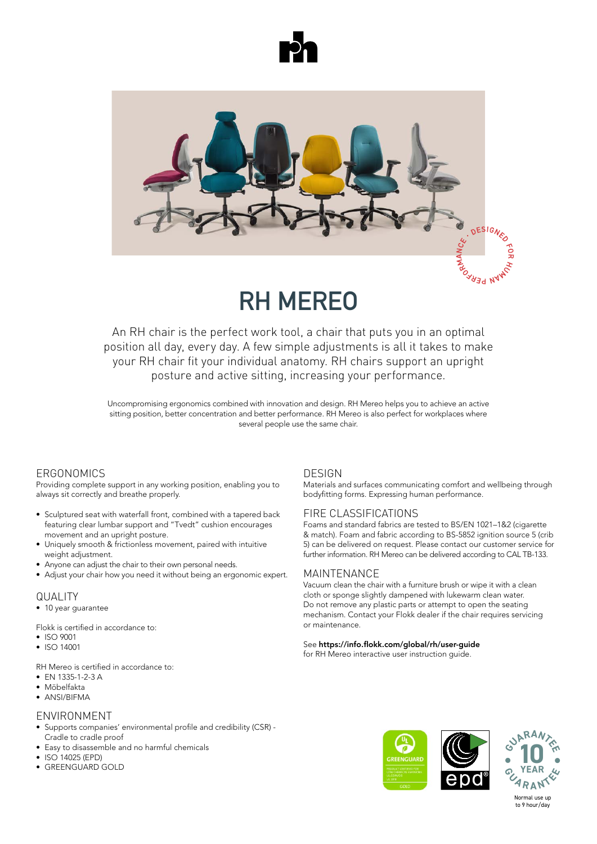



# **RH MEREO**

An RH chair is the perfect work tool, a chair that puts you in an optimal position all day, every day. A few simple adjustments is all it takes to make position all day, every day. A few simple adjustments is all it takes to make<br>your RH chair fit your individual anatomy. RH chairs support an upright<br>posture and active sitting, increasing your performance. posture and active sitting, increasing your performance.

Uncompromising ergonomics combined with inn sitting position, better concentration and better performance. RH Mereo is also perfect for workplaces where concentration and better performance. RH Mereo is also performance. RH Mereo is also performance. RH Mereo is a sitting position, better concentration and better performance. KH iviered is also perfect for workplaces where<br>several people use the same chair. personalizzazione è perfetta per postazioni utilizzate da più persone diverse. entornos laborales donde varias personas utilizan la misma silla. De RH Mereo is uitstekend geschikt voor werkplekken waar meerdere mensen dezelfde bureaustoel gebruiken. Uncompromising ergonomics combined with innovation and design. RH Mereo helps you to achieve an active

## Ergonomics Ergonomie ERGONOMIErgonomi **Ergonomie** ERGONOMICS

ברויוסטווסטיב<br>Providing complete support in any working position, enabling you to rochalling odispecto depport in any nonling position, onabiling you to always sit correctly and breathe properly. always sit correctly and breathe properly. Proporciona un soporte completo en cualquier posición de trabajo, Providing complete support in any working position, enabling you to Providing complete support in any working position, enabling you to vollständige Unterstützung in jeder Position und hilft Providing complete support in any working position, enabling you to bedre og dermed præsterer bedre.

- $\bullet~$  Sculptured seat with waterfall front, combined with a tapered back Featuring clear lumbar support and "Tvedt" cushion encourages movement and an upright posture. • Sculptured seat with waterfall front, combined with a tapered back
- Uniquely smooth & frictionless movement, paired with intuitive weight adjustment. emquery emperatus modernece movement, punca manimalano novement and an upright posture.<br>• Uniquely smooth & frictionless movement, paired with intuitive • Uniquely smooth & frictionless movement, paired with intuitive<br>
• Wirbelse og understøtter bevægelse og understøtter bevægelse og understøtter b
- weignt adjustment.<br>• Anyone can adjust the chair to their own personal needs. • Anyone can adjust the chair to their own personal needs. vergint adjustment.<br>• Anvone can adjust the chair to their own personal needs. • Anyone can aujust the chan to their own personal needs.<br>• Adimensional distribution of the side of the second second second second
- Adjust your chair how you need it without being an ergonomic expert <br>• Adjust your chair how you need it without being an ergonomic expert indipendentemente dalla corporatura. • Adjust your chair how you need it without being an ergonomic expe exclusivo ajuste intuitivo de peso. KVALITET I Adjust your chair how you need it without being an ergonomic expert.

#### **QUALITY Example 2014**  $\overline{O}$ LA LITV freiere Atmung. • Die nach vorne abgeschrägte Sitzfläche reduziert den Druck auf die  $\mathcal{L}$  einstellung des Stuhls, ohne dass man einstellung des Stuhls, ohne dass man einstellung des Stuhls, ohne dass man ein dass man ein dass man ein dass man einstellung des Stuhls, ohne dass man einstellung des Stuhl

QUALITI<br>• 10 year guarantee dossier, favorisant le mouvement dans une

Flokk is certified in accordance to:<br>• ISO 9001<br>• ISO 9001 • ISO 9001<br>• ISO 9001 Flokk is certified in accordance to:

- 
- ISO 9001<br>• ISO 14001  $\frac{1}{2}$  $\bullet$  150 1400 • ISO 9001<br>• ISO 14001  $\frac{1}{1}$ ist  $\frac{1}{2}$

RH Mereo is certified in accordance to: RH Mereo is certified in accordance to<br>• EN 1335-1-2-3 A **KH** Wereo I **RH Mereo is certified in accordam**<br>• EN 1335-1-2-3 A<br>• Möbelfakta

- EN 1335-1-2-3 A
- EN 1335-1-2-3 A<br>• Möbelfakta PH MODELIANA  $\bullet$  IVIODEITAKTA
- $\bullet$  ANSI/BIFMA  $\sim$  ANSIDE 1918 • ANSI/BIFMA

#### • ANSI/BIFMA • Möbelfakta • Möbelfakta • NPR 1813 ENVIRONMENT NVIIVOINI ENVIRONMENT

- Environment Cradle to cradle proof • Supports companies' environmental profile and credibility (CSR) -• Arvanding<br>• Supports compa<br>• Supports compa
- Easy to disassemble and no harmful chemicals<br>• Easy to disassemble and no harmful chemicals • Easy to disassemble and no harmitul criefficals<br>• ISO 14025 (EPD)
- 
- ISO 14025 (EPD)<br>• GREENGUARD GOLD  $p_{\text{max}}$  con un approximation  $\alpha$ • ISO 14025 (EPD)<br>• GREENGUARD GOLD • Stödjer företags miljöprofil och trovärdighet (CSR) - Vagga till vagga • GREENGUARD GOLD

## **DESIGN**

DESTON<br>Materials and surfaces communicating comfort and wellbeing through materials and canaded commanicating comfort and mollocing through<br>bodyfitting forms. Expressing human performance. Materials and sandees communicating connort and wellbeing allocagni-<br>bodyfitting forms. Expressing human performance. Los materiales y superficies transmiten confort y bienestar, a través de DESTOR<br>Materials and surfaces communicating comfort and wellbeing through aterials and surfaces communicating co Hochwertige Materialien und Oberflächen vermitteln ein Gefühl von Materials and surfaces communicating comfort and wellbeing through

## FIRE CLASSIFICATIONS

Foams and standard fabrics are tested to BS/EN 1021–1&2 (cigarette Foams en standaard stoffen worden getest volgens BS/EN 1021-1&2 mon encourages roams and standard fabrics are tested to BS/EN TO21-To22 (cigarette<br>& match). Foam and fabric according to BS-5852 ignition source 5 (crib 5) can be delivered on request. Please contact our customer service for ey sant be demicred emroqueen medeo centual eur edecementes mises further information. RH Mereo can be delivered according to CAL TB-133 further information. RH Mereo can be delivered according to CAL TB-133. Foams and standard fabrics are tested to BS/EN 1021-1&2 (cigarette Komfort und Wohlbefinden. Bei der Entwicklung steht der Mensch mit

## MAINTENANCE 1021–1&2 (cigarrillo y cerilla). La espuma y la tela según la norma BS-

тчяття голятисо.<br>Vacuum clean the chair with a furniture brush or wipe it with a clean cloth or sponge slightly dampened with lukewarm clean water. Crotin or sponge signity damperied with lukewarm clean water.<br>Do not remove any plastic parts or attempt to open the seating mechanism. Contact your Flokk dealer if the chair requires servicing or maintenance. MAINTENAINCE<br>Vacuum clean the chair with a furniture brush or wipe it with a clean støvag stolen med en møbelbørste, eller tør den af med en ren, hvidet af med en ren, hvidet med en ren, hvidet cloth or sponge slightly dampened with lukewarm clean water.<br>P

### See **https://info.flokk.com/global/rh/user-guide** See https://info.flokk.com/global/rh/user-guide Se https://info.flokk.com/global/rh/user-guide https://info.flokk.com/global/rh/user-guide

for RH Mereo interactive user instruction guide.



Normal use up to 9 hour/day